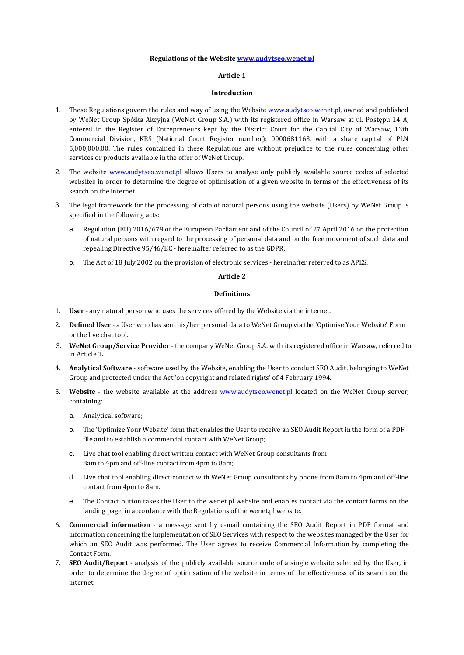## Regulations of the Website www.audytseo.wenet.pl

# Article 1

### Introduction

- 1. These Regulations govern the rules and way of using the Website www.audytseo.wenet.pl, owned and published by WeNet Group Spółka Akcyjna (WeNet Group S.A.) with its registered office in Warsaw at ul. Postępu 14 A, entered in the Register of Entrepreneurs kept by the District Court for the Capital City of Warsaw, 13th Commercial Division, KRS (National Court Register number): 0000681163, with a share capital of PLN 5,000,000.00. The rules contained in these Regulations are without prejudice to the rules concerning other services or products available in the offer of WeNet Group.
- 2. The website www.audytseo.wenet.pl allows Users to analyse only publicly available source codes of selected websites in order to determine the degree of optimisation of a given website in terms of the effectiveness of its search on the internet.
- 3. The legal framework for the processing of data of natural persons using the website (Users) by WeNet Group is specified in the following acts:
	- a. Regulation (EU) 2016/679 of the European Parliament and of the Council of 27 April 2016 on the protection of natural persons with regard to the processing of personal data and on the free movement of such data and repealing Directive 95/46/EC - hereinafter referred to as the GDPR;
	- b. The Act of 18 July 2002 on the provision of electronic services hereinafter referred to as APES.

## Article 2

## Definitions

- 1. User any natural person who uses the services offered by the Website via the internet.
- 2. Defined User a User who has sent his/her personal data to WeNet Group via the 'Optimise Your Website' Form or the live chat tool.
- 3. WeNet Group/Service Provider the company WeNet Group S.A. with its registered office in Warsaw, referred to in Article 1.
- 4. Analytical Software software used by the Website, enabling the User to conduct SEO Audit, belonging to WeNet Group and protected under the Act 'on copyright and related rights' of 4 February 1994.
- 5. Website the website available at the address www.audytseo.wenet.pl located on the WeNet Group server, containing:
	- a. Analytical software;
	- b. The 'Optimize Your Website' form that enables the User to receive an SEO Audit Report in the form of a PDF file and to establish a commercial contact with WeNet Group;
	- c. Live chat tool enabling direct written contact with WeNet Group consultants from 8am to 4pm and off-line contact from 4pm to 8am;
	- d. Live chat tool enabling direct contact with WeNet Group consultants by phone from 8am to 4pm and off-line contact from 4pm to 8am.
	- e. The Contact button takes the User to the wenet.pl website and enables contact via the contact forms on the landing page, in accordance with the Regulations of the wenet.pl website.
- 6. Commercial information a message sent by e-mail containing the SEO Audit Report in PDF format and information concerning the implementation of SEO Services with respect to the websites managed by the User for which an SEO Audit was performed. The User agrees to receive Commercial Information by completing the Contact Form.
- 7. SEO Audit/Report analysis of the publicly available source code of a single website selected by the User, in order to determine the degree of optimisation of the website in terms of the effectiveness of its search on the internet.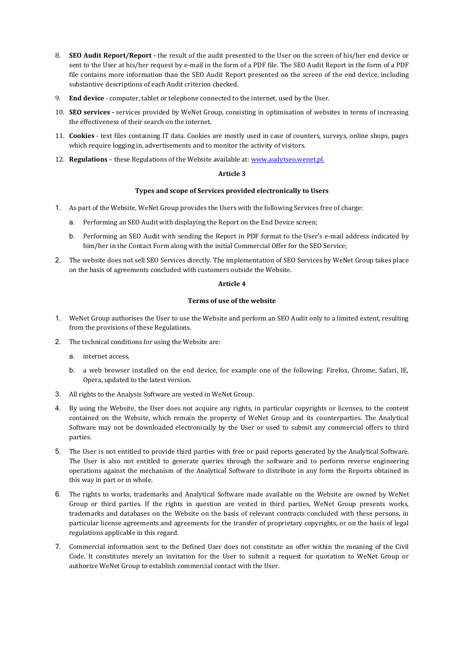- 8. SEO Audit Report/Report the result of the audit presented to the User on the screen of his/her end device or sent to the User at his/her request by e-mail in the form of a PDF file. The SEO Audit Report in the form of a PDF file contains more information than the SEO Audit Report presented on the screen of the end device, including substantive descriptions of each Audit criterion checked.
- 9. End device computer, tablet or telephone connected to the internet, used by the User.
- 10. SEO services services provided by WeNet Group, consisting in optimisation of websites in terms of increasing the effectiveness of their search on the internet.
- 11. Cookies text files containing IT data. Cookies are mostly used in case of counters, surveys, online shops, pages which require logging in, advertisements and to monitor the activity of visitors.
- 12. Regulations these Regulations of the Website available at: www.audytseo.wenet.pl.

# Article 3

# Types and scope of Services provided electronically to Users

- 1. As part of the Website, WeNet Group provides the Users with the following Services free of charge:
	- a. Performing an SEO Audit with displaying the Report on the End Device screen;
	- b. Performing an SEO Audit with sending the Report in PDF format to the User's e-mail address indicated by him/her in the Contact Form along with the initial Commercial Offer for the SEO Service;
- 2. The website does not sell SEO Services directly. The implementation of SEO Services by WeNet Group takes place on the basis of agreements concluded with customers outside the Website.

# Article 4

# Terms of use of the website

- 1. WeNet Group authorises the User to use the Website and perform an SEO Audit only to a limited extent, resulting from the provisions of these Regulations.
- 2. The technical conditions for using the Website are:
	- a. internet access,
	- b. a web browser installed on the end device, for example one of the following: Firefox, Chrome, Safari, IE, Opera, updated to the latest version.
- 3. All rights to the Analysis Software are vested in WeNet Group.
- 4. By using the Website, the User does not acquire any rights, in particular copyrights or licenses, to the content contained on the Website, which remain the property of WeNet Group and its counterparties. The Analytical Software may not be downloaded electronically by the User or used to submit any commercial offers to third parties.
- 5. The User is not entitled to provide third parties with free or paid reports generated by the Analytical Software. The User is also not entitled to generate queries through the software and to perform reverse engineering operations against the mechanism of the Analytical Software to distribute in any form the Reports obtained in this way in part or in whole.
- 6. The rights to works, trademarks and Analytical Software made available on the Website are owned by WeNet Group or third parties. If the rights in question are vested in third parties, WeNet Group presents works, trademarks and databases on the Website on the basis of relevant contracts concluded with these persons, in particular license agreements and agreements for the transfer of proprietary copyrights, or on the basis of legal regulations applicable in this regard.
- 7. Commercial information sent to the Defined User does not constitute an offer within the meaning of the Civil Code. It constitutes merely an invitation for the User to submit a request for quotation to WeNet Group or authorize WeNet Group to establish commercial contact with the User.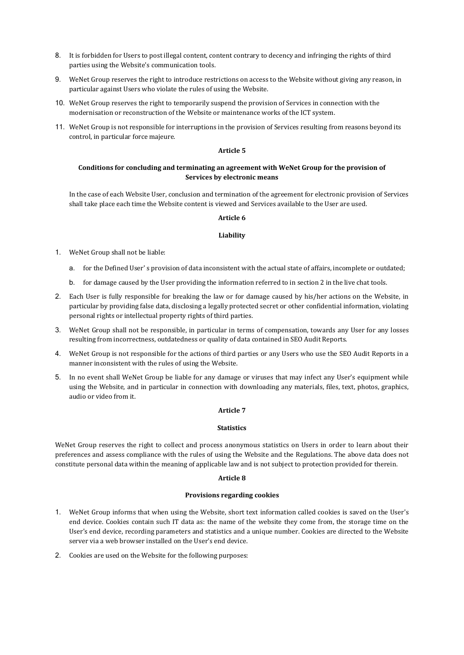- 8. It is forbidden for Users to post illegal content, content contrary to decency and infringing the rights of third parties using the Website's communication tools.
- 9. WeNet Group reserves the right to introduce restrictions on access to the Website without giving any reason, in particular against Users who violate the rules of using the Website.
- 10. WeNet Group reserves the right to temporarily suspend the provision of Services in connection with the modernisation or reconstruction of the Website or maintenance works of the ICT system.
- 11. WeNet Group is not responsible for interruptions in the provision of Services resulting from reasons beyond its control, in particular force majeure.

### Article 5

# Conditions for concluding and terminating an agreement with WeNet Group for the provision of Services by electronic means

In the case of each Website User, conclusion and termination of the agreement for electronic provision of Services shall take place each time the Website content is viewed and Services available to the User are used.

# Article 6

#### Liability

- 1. WeNet Group shall not be liable:
	- a. for the Defined User' s provision of data inconsistent with the actual state of affairs, incomplete or outdated;
	- b. for damage caused by the User providing the information referred to in section 2 in the live chat tools.
- 2. Each User is fully responsible for breaking the law or for damage caused by his/her actions on the Website, in particular by providing false data, disclosing a legally protected secret or other confidential information, violating personal rights or intellectual property rights of third parties.
- 3. WeNet Group shall not be responsible, in particular in terms of compensation, towards any User for any losses resulting from incorrectness, outdatedness or quality of data contained in SEO Audit Reports.
- 4. WeNet Group is not responsible for the actions of third parties or any Users who use the SEO Audit Reports in a manner inconsistent with the rules of using the Website.
- 5. In no event shall WeNet Group be liable for any damage or viruses that may infect any User's equipment while using the Website, and in particular in connection with downloading any materials, files, text, photos, graphics, audio or video from it.

#### Article 7

# **Statistics**

WeNet Group reserves the right to collect and process anonymous statistics on Users in order to learn about their preferences and assess compliance with the rules of using the Website and the Regulations. The above data does not constitute personal data within the meaning of applicable law and is not subject to protection provided for therein.

#### Article 8

#### Provisions regarding cookies

- 1. WeNet Group informs that when using the Website, short text information called cookies is saved on the User's end device. Cookies contain such IT data as: the name of the website they come from, the storage time on the User's end device, recording parameters and statistics and a unique number. Cookies are directed to the Website server via a web browser installed on the User's end device.
- 2. Cookies are used on the Website for the following purposes: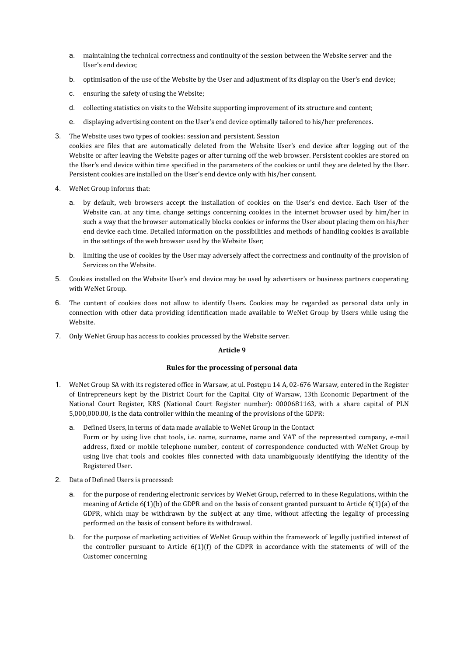- a. maintaining the technical correctness and continuity of the session between the Website server and the User's end device;
- b. optimisation of the use of the Website by the User and adjustment of its display on the User's end device;
- c. ensuring the safety of using the Website;
- d. collecting statistics on visits to the Website supporting improvement of its structure and content;
- e. displaying advertising content on the User's end device optimally tailored to his/her preferences.
- 3. The Website uses two types of cookies: session and persistent. Session cookies are files that are automatically deleted from the Website User's end device after logging out of the Website or after leaving the Website pages or after turning off the web browser. Persistent cookies are stored on the User's end device within time specified in the parameters of the cookies or until they are deleted by the User. Persistent cookies are installed on the User's end device only with his/her consent.
- 4. WeNet Group informs that:
	- a. by default, web browsers accept the installation of cookies on the User's end device. Each User of the Website can, at any time, change settings concerning cookies in the internet browser used by him/her in such a way that the browser automatically blocks cookies or informs the User about placing them on his/her end device each time. Detailed information on the possibilities and methods of handling cookies is available in the settings of the web browser used by the Website User;
	- b. limiting the use of cookies by the User may adversely affect the correctness and continuity of the provision of Services on the Website.
- 5. Cookies installed on the Website User's end device may be used by advertisers or business partners cooperating with WeNet Group.
- 6. The content of cookies does not allow to identify Users. Cookies may be regarded as personal data only in connection with other data providing identification made available to WeNet Group by Users while using the Website.
- 7. Only WeNet Group has access to cookies processed by the Website server.

# Article 9

# Rules for the processing of personal data

- 1. WeNet Group SA with its registered office in Warsaw, at ul. Postępu 14 A, 02-676 Warsaw, entered in the Register of Entrepreneurs kept by the District Court for the Capital City of Warsaw, 13th Economic Department of the National Court Register, KRS (National Court Register number): 0000681163, with a share capital of PLN 5,000,000.00, is the data controller within the meaning of the provisions of the GDPR:
	- a. Defined Users, in terms of data made available to WeNet Group in the Contact
		- Form or by using live chat tools, i.e. name, surname, name and VAT of the represented company, e-mail address, fixed or mobile telephone number, content of correspondence conducted with WeNet Group by using live chat tools and cookies files connected with data unambiguously identifying the identity of the Registered User.
- 2. Data of Defined Users is processed:
	- a. for the purpose of rendering electronic services by WeNet Group, referred to in these Regulations, within the meaning of Article 6(1)(b) of the GDPR and on the basis of consent granted pursuant to Article 6(1)(a) of the GDPR, which may be withdrawn by the subject at any time, without affecting the legality of processing performed on the basis of consent before its withdrawal.
	- b. for the purpose of marketing activities of WeNet Group within the framework of legally justified interest of the controller pursuant to Article  $6(1)(f)$  of the GDPR in accordance with the statements of will of the Customer concerning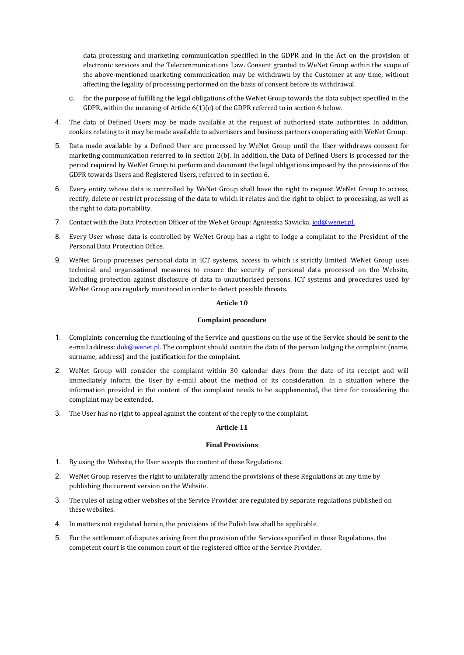data processing and marketing communication specified in the GDPR and in the Act on the provision of electronic services and the Telecommunications Law. Consent granted to WeNet Group within the scope of the above-mentioned marketing communication may be withdrawn by the Customer at any time, without affecting the legality of processing performed on the basis of consent before its withdrawal.

- c. for the purpose of fulfilling the legal obligations of the WeNet Group towards the data subject specified in the GDPR, within the meaning of Article 6(1)(c) of the GDPR referred to in section 6 below.
- 4. The data of Defined Users may be made available at the request of authorised state authorities. In addition, cookies relating to it may be made available to advertisers and business partners cooperating with WeNet Group.
- 5. Data made available by a Defined User are processed by WeNet Group until the User withdraws consent for marketing communication referred to in section 2(b). In addition, the Data of Defined Users is processed for the period required by WeNet Group to perform and document the legal obligations imposed by the provisions of the GDPR towards Users and Registered Users, referred to in section 6.
- 6. Every entity whose data is controlled by WeNet Group shall have the right to request WeNet Group to access, rectify, delete or restrict processing of the data to which it relates and the right to object to processing, as well as the right to data portability.
- 7. Contact with the Data Protection Officer of the WeNet Group: Agnieszka Sawicka, iod@wenet.pl.
- 8. Every User whose data is controlled by WeNet Group has a right to lodge a complaint to the President of the Personal Data Protection Office.
- 9. WeNet Group processes personal data in ICT systems, access to which is strictly limited. WeNet Group uses technical and organisational measures to ensure the security of personal data processed on the Website, including protection against disclosure of data to unauthorised persons. ICT systems and procedures used by WeNet Group are regularly monitored in order to detect possible threats.

# Article 10

### Complaint procedure

- 1. Complaints concerning the functioning of the Service and questions on the use of the Service should be sent to the e-mail address: dok@wenet.pl. The complaint should contain the data of the person lodging the complaint (name, surname, address) and the justification for the complaint.
- 2. WeNet Group will consider the complaint within 30 calendar days from the date of its receipt and will immediately inform the User by e-mail about the method of its consideration. In a situation where the information provided in the content of the complaint needs to be supplemented, the time for considering the complaint may be extended.
- 3. The User has no right to appeal against the content of the reply to the complaint.

# Article 11

# Final Provisions

- 1. By using the Website, the User accepts the content of these Regulations.
- 2. WeNet Group reserves the right to unilaterally amend the provisions of these Regulations at any time by publishing the current version on the Website.
- 3. The rules of using other websites of the Service Provider are regulated by separate regulations published on these websites.
- 4. In matters not regulated herein, the provisions of the Polish law shall be applicable.
- 5. For the settlement of disputes arising from the provision of the Services specified in these Regulations, the competent court is the common court of the registered office of the Service Provider.